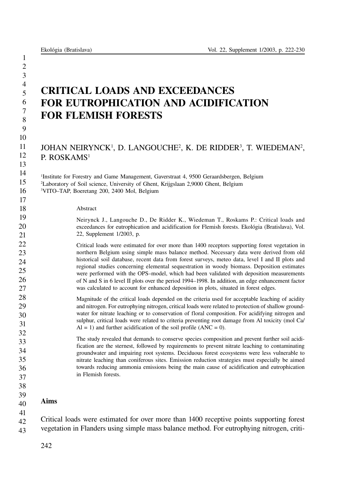# CRITICAL LOADS AND EXCEEDANCES FOR EUTROPHICATION AND ACIDIFICATION FOR FLEMISH FORESTS

# JOHAN NEIRYNCK<sup>1</sup>, D. LANGOUCHE<sup>2</sup>, K. DE RIDDER<sup>3</sup>, T. WIEDEMAN<sup>2</sup>, P. ROSKAMS<sup>1</sup>

<sup>1</sup>Institute for Forestry and Game Management, Gaverstraat 4, 9500 Geraardsbergen, Belgium

2 Laboratory of Soil science, University of Ghent, Krijgslaan 2,9000 Ghent, Belgium

3 VITO–TAP, Boeretang 200, 2400 Mol, Belgium

### Abstract

Neirynck J., Langouche D., De Ridder K., Wiedeman T., Roskams P.: Critical loads and exceedances for eutrophication and acidification for Flemish forests. Ekológia (Bratislava), Vol. 22, Supplement 1/2003, p.

Critical loads were estimated for over more than 1400 receptors supporting forest vegetation in northern Belgium using simple mass balance method. Necessary data were derived from old historical soil database, recent data from forest surveys, meteo data, level I and II plots and regional studies concerning elemental sequestration in woody biomass. Deposition estimates were performed with the OPS–model, which had been validated with deposition measurements of N and S in 6 level II plots over the period 1994–1998. In addition, an edge enhancement factor was calculated to account for enhanced deposition in plots, situated in forest edges.

Magnitude of the critical loads depended on the criteria used for acceptable leaching of acidity and nitrogen. For eutrophying nitrogen, critical loads were related to protection of shallow groundwater for nitrate leaching or to conservation of floral composition. For acidifying nitrogen and sulphur, critical loads were related to criteria preventing root damage from Al toxicity (mol Ca/  $Al = 1$ ) and further acidification of the soil profile (ANC = 0).

The study revealed that demands to conserve species composition and prevent further soil acidification are the sternest, followed by requirements to prevent nitrate leaching to contaminating groundwater and impairing root systems. Deciduous forest ecosystems were less vulnerable to nitrate leaching than coniferous sites. Emission reduction strategies must especially be aimed towards reducing ammonia emissions being the main cause of acidification and eutrophication in Flemish forests.

#### 39 Aims

37 38

41

40

42 43 Critical loads were estimated for over more than 1400 receptive points supporting forest vegetation in Flanders using simple mass balance method. For eutrophying nitrogen, criti-

242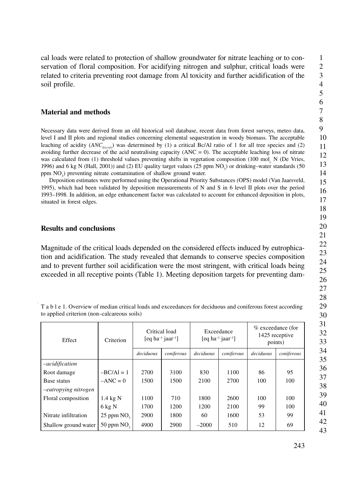## Material and methods

Necessary data were derived from an old historical soil database, recent data from forest surveys, meteo data, level I and II plots and regional studies concerning elemental sequestration in woody biomass. The acceptable leaching of acidity (*ANCle(crit)*) was determined by (1) a critical Bc/Al ratio of 1 for all tree species and (2) avoiding further decrease of the acid neutralising capacity  $(ANC = 0)$ . The acceptable leaching loss of nitrate was calculated from (1) threshold values preventing shifts in vegetation composition (100 mol<sub>c</sub> N (De Vries, 1996) and 6 kg N (Hall, 2001)) and (2) EU quality target values (25 ppm  $NO<sub>3</sub>$ ) or drinking–water standards (50 ppm  $NO<sub>3</sub>$ ) preventing nitrate contamination of shallow ground water.

Deposition estimates were performed using the Operational Priority Substances (OPS) model (Van Jaarsveld, 1995), which had been validated by deposition measurements of N and S in 6 level II plots over the period 1993–1998. In addition, an edge enhancement factor was calculated to account for enhanced deposition in plots, situated in forest edges.

# Results and conclusions

Magnitude of the critical loads depended on the considered effects induced by eutrophication and acidification. The study revealed that demands to conserve species composition and to prevent further soil acidification were the most stringent, with critical loads being exceeded in all receptive points (Table 1). Meeting deposition targets for preventing dam-

T a b l e 1. Overview of median critical loads and exceedances for deciduous and coniferous forest according to applied criterion (non–calcareous soils)

| Effect               | Criterion          | Critical load<br>[eq ha <sup>-1</sup> jaar <sup>-1</sup> ] |            | Exceedance<br>[eq ha <sup>-1</sup> jaar <sup>-1</sup> ] |            | % exceedance (for<br>1425 receptive<br>points) |            |
|----------------------|--------------------|------------------------------------------------------------|------------|---------------------------------------------------------|------------|------------------------------------------------|------------|
|                      |                    | deciduous                                                  | coniferous | deciduous                                               | coniferous | deciduous                                      | coniferous |
| -acidification       |                    |                                                            |            |                                                         |            |                                                |            |
| Root damage          | $-BC/A1 = 1$       | 2700                                                       | 3100       | 830                                                     | 1100       | 86                                             | 95         |
| Base status          | $-ANC = 0$         | 1500                                                       | 1500       | 2100                                                    | 2700       | 100                                            | 100        |
| -eutropying nitrogen |                    |                                                            |            |                                                         |            |                                                |            |
| Floral composition   | $1.4 \text{ kg N}$ | 1100                                                       | 710        | 1800                                                    | 2600       | 100                                            | 100        |
|                      | $6 \text{ kg N}$   | 1700                                                       | 1200       | 1200                                                    | 2100       | 99                                             | 100        |
| Nitrate infiltration | 25 ppm $NO3$       | 2900                                                       | 1800       | 60                                                      | 1600       | 53                                             | 99         |
| Shallow ground water | $50$ ppm $NO2$     | 4900                                                       | 2900       | $-2000$                                                 | 510        | 12                                             | 69         |